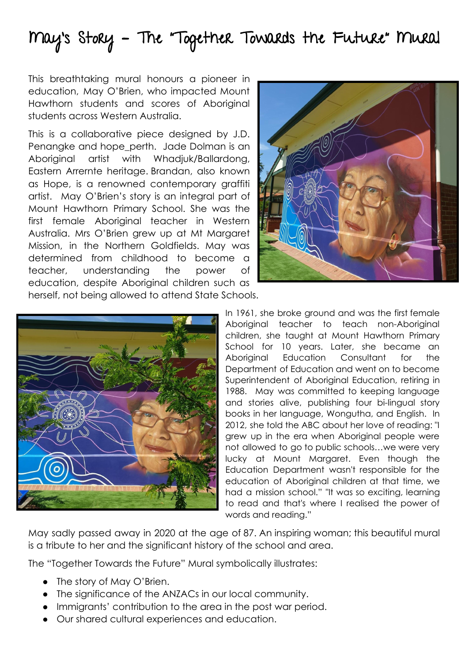## May's Story – The "Together Towards the Future" Mural

This breathtaking mural honours a pioneer in education, May O'Brien, who impacted Mount Hawthorn students and scores of Aboriginal students across Western Australia.

This is a collaborative piece designed by J.D. Penangke and hope perth. Jade Dolman is an Aboriginal artist with Whadjuk/Ballardong, Eastern Arrernte heritage. Brandan, also known as Hope, is a renowned contemporary graffiti artist. May O'Brien's story is an integral part of Mount Hawthorn Primary School. She was the first female Aboriginal teacher in Western Australia. Mrs O'Brien grew up at Mt Margaret Mission, in the Northern Goldfields. May was determined from childhood to become a teacher, understanding the power of education, despite Aboriginal children such as herself, not being allowed to attend State Schools.



In 1961, she broke ground and was the first female Aboriginal teacher to teach non-Aboriginal children, she taught at Mount Hawthorn Primary School for 10 years. Later, she became an Aboriginal Education Consultant for the Department of Education and went on to become Superintendent of Aboriginal Education, retiring in 1988. May was committed to keeping language and stories alive, publishing four bi-lingual story books in her language, Wongutha, and English. In 2012, she told the ABC about her love of reading: "I grew up in the era when Aboriginal people were not allowed to go to public schools…we were very lucky at Mount Margaret. Even though the Education Department wasn't responsible for the education of Aboriginal children at that time, we had a mission school." "It was so exciting, learning to read and that's where I realised the power of words and reading."

May sadly passed away in 2020 at the age of 87. An inspiring woman; this beautiful mural is a tribute to her and the significant history of the school and area.

The "Together Towards the Future" Mural symbolically illustrates:

- The story of May O'Brien.
- The significance of the ANZACs in our local community.
- Immigrants' contribution to the area in the post war period.
- Our shared cultural experiences and education.